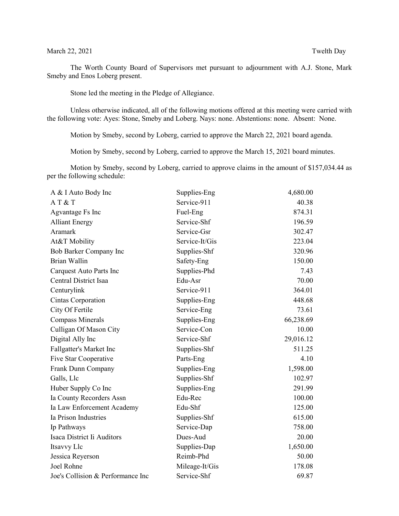## March 22, 2021 Twelth Day

The Worth County Board of Supervisors met pursuant to adjournment with A.J. Stone, Mark Smeby and Enos Loberg present.

Stone led the meeting in the Pledge of Allegiance.

Unless otherwise indicated, all of the following motions offered at this meeting were carried with the following vote: Ayes: Stone, Smeby and Loberg. Nays: none. Abstentions: none. Absent: None.

Motion by Smeby, second by Loberg, carried to approve the March 22, 2021 board agenda.

Motion by Smeby, second by Loberg, carried to approve the March 15, 2021 board minutes.

Motion by Smeby, second by Loberg, carried to approve claims in the amount of \$157,034.44 as per the following schedule:

| A & I Auto Body Inc               | Supplies-Eng   | 4,680.00  |
|-----------------------------------|----------------|-----------|
| AT&T                              | Service-911    | 40.38     |
| Agvantage Fs Inc                  | Fuel-Eng       | 874.31    |
| <b>Alliant Energy</b>             | Service-Shf    | 196.59    |
| Aramark                           | Service-Gsr    | 302.47    |
| At&T Mobility                     | Service-It/Gis | 223.04    |
| Bob Barker Company Inc            | Supplies-Shf   | 320.96    |
| <b>Brian Wallin</b>               | Safety-Eng     | 150.00    |
| Carquest Auto Parts Inc           | Supplies-Phd   | 7.43      |
| Central District Isaa             | Edu-Asr        | 70.00     |
| Centurylink                       | Service-911    | 364.01    |
| Cintas Corporation                | Supplies-Eng   | 448.68    |
| City Of Fertile                   | Service-Eng    | 73.61     |
| <b>Compass Minerals</b>           | Supplies-Eng   | 66,238.69 |
| Culligan Of Mason City            | Service-Con    | 10.00     |
| Digital Ally Inc                  | Service-Shf    | 29,016.12 |
| Fallgatter's Market Inc           | Supplies-Shf   | 511.25    |
| Five Star Cooperative             | Parts-Eng      | 4.10      |
| Frank Dunn Company                | Supplies-Eng   | 1,598.00  |
| Galls, Llc                        | Supplies-Shf   | 102.97    |
| Huber Supply Co Inc               | Supplies-Eng   | 291.99    |
| Ia County Recorders Assn          | Edu-Rec        | 100.00    |
| Ia Law Enforcement Academy        | Edu-Shf        | 125.00    |
| Ia Prison Industries              | Supplies-Shf   | 615.00    |
| Ip Pathways                       | Service-Dap    | 758.00    |
| Isaca District Ii Auditors        | Dues-Aud       | 20.00     |
| Itsavvy Llc                       | Supplies-Dap   | 1,650.00  |
| Jessica Reyerson                  | Reimb-Phd      | 50.00     |
| Joel Rohne                        | Mileage-It/Gis | 178.08    |
| Joe's Collision & Performance Inc | Service-Shf    | 69.87     |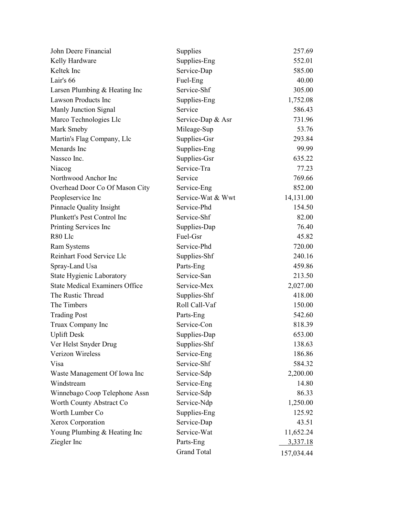| John Deere Financial                  | Supplies           | 257.69     |
|---------------------------------------|--------------------|------------|
| Kelly Hardware                        | Supplies-Eng       | 552.01     |
| Keltek Inc                            | Service-Dap        | 585.00     |
| Lair's 66                             | Fuel-Eng           | 40.00      |
| Larsen Plumbing & Heating Inc         | Service-Shf        | 305.00     |
| Lawson Products Inc                   | Supplies-Eng       | 1,752.08   |
| Manly Junction Signal                 | Service            | 586.43     |
| Marco Technologies Llc                | Service-Dap & Asr  | 731.96     |
| Mark Smeby                            | Mileage-Sup        | 53.76      |
| Martin's Flag Company, Llc            | Supplies-Gsr       | 293.84     |
| Menards Inc                           | Supplies-Eng       | 99.99      |
| Nassco Inc.                           | Supplies-Gsr       | 635.22     |
| Niacog                                | Service-Tra        | 77.23      |
| Northwood Anchor Inc                  | Service            | 769.66     |
| Overhead Door Co Of Mason City        | Service-Eng        | 852.00     |
| Peopleservice Inc                     | Service-Wat & Wwt  | 14,131.00  |
| <b>Pinnacle Quality Insight</b>       | Service-Phd        | 154.50     |
| Plunkett's Pest Control Inc           | Service-Shf        | 82.00      |
| Printing Services Inc                 | Supplies-Dap       | 76.40      |
| R80 Llc                               | Fuel-Gsr           | 45.82      |
| Ram Systems                           | Service-Phd        | 720.00     |
| Reinhart Food Service Llc             | Supplies-Shf       | 240.16     |
| Spray-Land Usa                        | Parts-Eng          | 459.86     |
| State Hygienic Laboratory             | Service-San        | 213.50     |
| <b>State Medical Examiners Office</b> | Service-Mex        | 2,027.00   |
| The Rustic Thread                     | Supplies-Shf       | 418.00     |
| The Timbers                           | Roll Call-Vaf      | 150.00     |
| <b>Trading Post</b>                   | Parts-Eng          | 542.60     |
| Truax Company Inc                     | Service-Con        | 818.39     |
| <b>Uplift Desk</b>                    | Supplies-Dap       | 653.00     |
| Ver Helst Snyder Drug                 | Supplies-Shf       | 138.63     |
| Verizon Wireless                      | Service-Eng        | 186.86     |
| Visa                                  | Service-Shf        | 584.32     |
| Waste Management Of Iowa Inc          | Service-Sdp        | 2,200.00   |
| Windstream                            | Service-Eng        | 14.80      |
| Winnebago Coop Telephone Assn         | Service-Sdp        | 86.33      |
| Worth County Abstract Co              | Service-Ndp        | 1,250.00   |
| Worth Lumber Co                       | Supplies-Eng       | 125.92     |
| Xerox Corporation                     | Service-Dap        | 43.51      |
| Young Plumbing & Heating Inc          | Service-Wat        | 11,652.24  |
| Ziegler Inc                           | Parts-Eng          | 3,337.18   |
|                                       | <b>Grand Total</b> | 157,034.44 |
|                                       |                    |            |